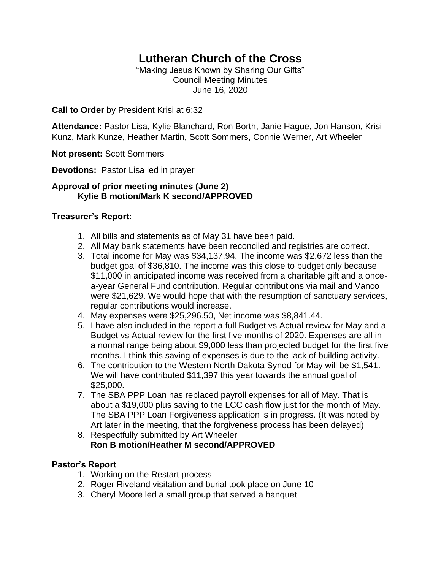# **Lutheran Church of the Cross**

"Making Jesus Known by Sharing Our Gifts" Council Meeting Minutes June 16, 2020

**Call to Order** by President Krisi at 6:32

**Attendance:** Pastor Lisa, Kylie Blanchard, Ron Borth, Janie Hague, Jon Hanson, Krisi Kunz, Mark Kunze, Heather Martin, Scott Sommers, Connie Werner, Art Wheeler

**Not present:** Scott Sommers

**Devotions:** Pastor Lisa led in prayer

#### **Approval of prior meeting minutes (June 2) Kylie B motion/Mark K second/APPROVED**

#### **Treasurer's Report:**

- 1. All bills and statements as of May 31 have been paid.
- 2. All May bank statements have been reconciled and registries are correct.
- 3. Total income for May was \$34,137.94. The income was \$2,672 less than the budget goal of \$36,810. The income was this close to budget only because \$11,000 in anticipated income was received from a charitable gift and a oncea-year General Fund contribution. Regular contributions via mail and Vanco were \$21,629. We would hope that with the resumption of sanctuary services, regular contributions would increase.
- 4. May expenses were \$25,296.50, Net income was \$8,841.44.
- 5. I have also included in the report a full Budget vs Actual review for May and a Budget vs Actual review for the first five months of 2020. Expenses are all in a normal range being about \$9,000 less than projected budget for the first five months. I think this saving of expenses is due to the lack of building activity.
- 6. The contribution to the Western North Dakota Synod for May will be \$1,541. We will have contributed \$11,397 this year towards the annual goal of \$25,000.
- 7. The SBA PPP Loan has replaced payroll expenses for all of May. That is about a \$19,000 plus saving to the LCC cash flow just for the month of May. The SBA PPP Loan Forgiveness application is in progress. (It was noted by Art later in the meeting, that the forgiveness process has been delayed)
- 8. Respectfully submitted by Art Wheeler **Ron B motion/Heather M second/APPROVED**

#### **Pastor's Report**

- 1. Working on the Restart process
- 2. Roger Riveland visitation and burial took place on June 10
- 3. Cheryl Moore led a small group that served a banquet